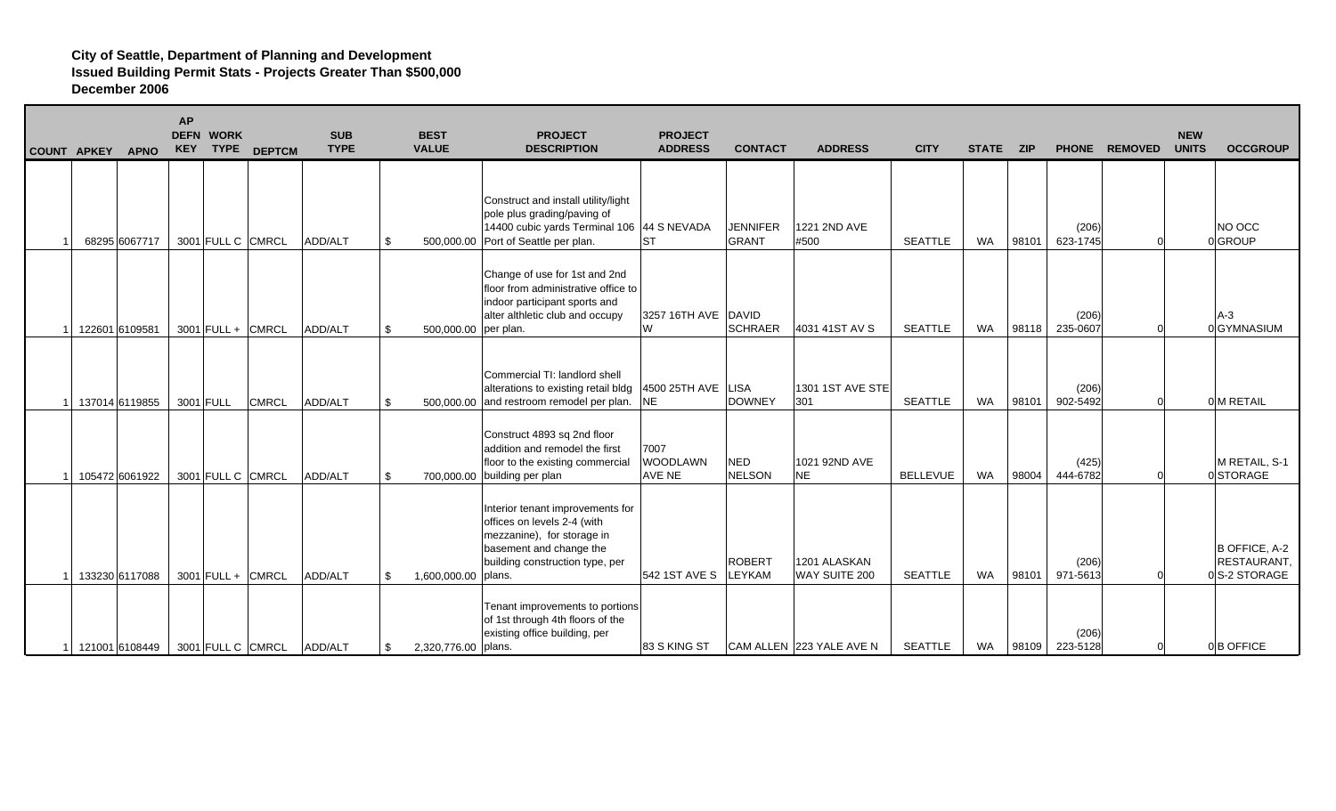| <b>COUNT APKEY</b><br><b>APNO</b> | <b>AP</b> | <b>DEFN WORK</b>    | KEY TYPE DEPTCM     | <b>SUB</b><br><b>TYPE</b> | <b>BEST</b><br><b>VALUE</b> | <b>PROJECT</b><br><b>DESCRIPTION</b>                                                                                                                        | <b>PROJECT</b><br><b>ADDRESS</b>  | <b>CONTACT</b>                  | <b>ADDRESS</b>                | <b>CITY</b>     | <b>STATE</b> | <b>ZIP</b> |                   | PHONE REMOVED | <b>NEW</b><br><b>UNITS</b> | <b>OCCGROUP</b>                              |
|-----------------------------------|-----------|---------------------|---------------------|---------------------------|-----------------------------|-------------------------------------------------------------------------------------------------------------------------------------------------------------|-----------------------------------|---------------------------------|-------------------------------|-----------------|--------------|------------|-------------------|---------------|----------------------------|----------------------------------------------|
| 68295 6067717                     |           | 3001 FULL C CMRCL   |                     | ADD/ALT                   | \$                          | Construct and install utility/light<br>pole plus grading/paving of<br>14400 cubic yards Terminal 106 44 S NEVADA<br>500,000.00 Port of Seattle per plan.    | <b>ST</b>                         | <b>JENNIFER</b><br><b>GRANT</b> | 1221 2ND AVE<br>#500          | <b>SEATTLE</b>  | WA           | 98101      | (206)<br>623-1745 |               |                            | NO OCC<br>0GROUP                             |
| 122601 6109581                    |           | $3001$ FULL + CMRCL |                     | ADD/ALT                   | \$<br>500,000.00 per plan.  | Change of use for 1st and 2nd<br>floor from administrative office to<br>indoor participant sports and<br>alter althletic club and occupy                    | 3257 16TH AVE DAVID<br>W          | <b>SCHRAER</b>                  | 4031 41ST AV S                | <b>SEATTLE</b>  | WA           | 98118      | (206)<br>235-0607 |               |                            | $A-3$<br>0 GYMNASIUM                         |
| 137014 6119855                    |           | 3001 FULL           | <b>CMRCL</b>        | ADD/ALT                   | \$                          | Commercial TI: landlord shell<br>alterations to existing retail bldg<br>500,000.00 and restroom remodel per plan. NE                                        | 4500 25TH AVE   LISA              | <b>DOWNEY</b>                   | 1301 1ST AVE STE<br>301       | <b>SEATTLE</b>  | WA           | 98101      | (206)<br>902-5492 |               |                            | 0 M RETAIL                                   |
| 105472 6061922                    |           | 3001 FULL C CMRCL   |                     | ADD/ALT                   | \$<br>700,000.00            | Construct 4893 sq 2nd floor<br>addition and remodel the first<br>floor to the existing commercial<br>building per plan                                      | 7007<br>WOODLAWN<br><b>AVE NE</b> | <b>NED</b><br><b>NELSON</b>     | 1021 92ND AVE<br><b>NE</b>    | <b>BELLEVUE</b> | <b>WA</b>    | 98004      | (425)<br>444-6782 |               |                            | M RETAIL, S-1<br>0 STORAGE                   |
| 133230 6117088                    |           |                     | $3001$ FULL + CMRCL | ADD/ALT                   | \$<br>1,600,000.00   plans. | Interior tenant improvements for<br>offices on levels 2-4 (with<br>mezzanine), for storage in<br>basement and change the<br>building construction type, per | 542 1ST AVE S                     | <b>ROBERT</b><br>LEYKAM         | 1201 ALASKAN<br>WAY SUITE 200 | <b>SEATTLE</b>  | WA           | 98101      | (206)<br>971-5613 |               |                            | B OFFICE, A-2<br>RESTAURANT,<br>0S-2 STORAGE |
| 121001 6108449                    |           |                     | 3001 FULL C CMRCL   | ADD/ALT                   | \$<br>2,320,776.00   plans. | Tenant improvements to portions<br>of 1st through 4th floors of the<br>existing office building, per                                                        | 83 S KING ST                      |                                 | CAM ALLEN 223 YALE AVE N      | <b>SEATTLE</b>  | WA           | 98109      | (206)<br>223-5128 | $\Omega$      |                            | 0B OFFICE                                    |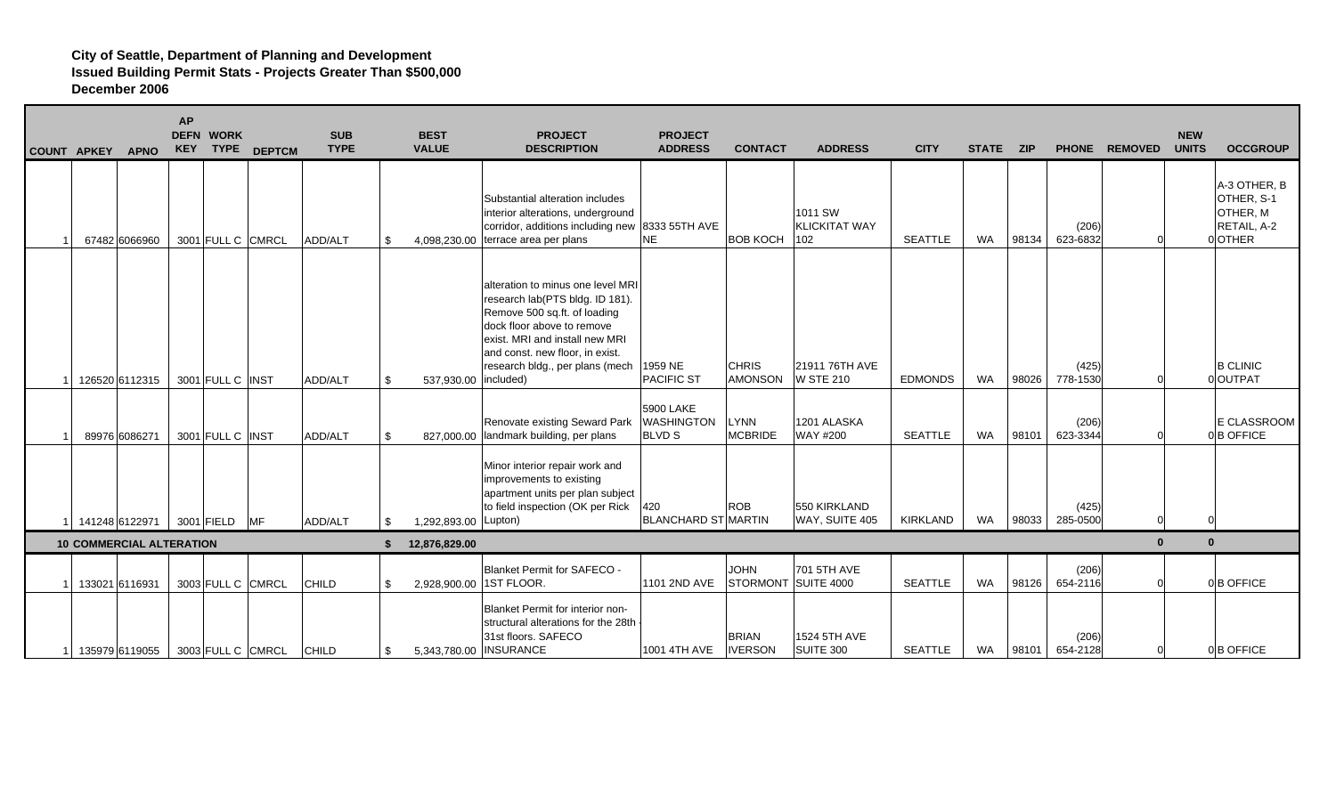|  | COUNT APKEY | <b>APNO</b>                     | <b>AP</b> | <b>DEFN WORK</b> | <b>KEY TYPE DEPTCM</b> | <b>SUB</b><br><b>TYPE</b> |     | <b>BEST</b><br><b>VALUE</b> | <b>PROJECT</b><br><b>DESCRIPTION</b>                                                                                                                                                                                                       | <b>PROJECT</b><br><b>ADDRESS</b>                | <b>CONTACT</b>                 | <b>ADDRESS</b>                         | <b>CITY</b>    | STATE ZIP |       |                   | PHONE REMOVED | <b>NEW</b><br><b>UNITS</b> | <b>OCCGROUP</b>                                                 |
|--|-------------|---------------------------------|-----------|------------------|------------------------|---------------------------|-----|-----------------------------|--------------------------------------------------------------------------------------------------------------------------------------------------------------------------------------------------------------------------------------------|-------------------------------------------------|--------------------------------|----------------------------------------|----------------|-----------|-------|-------------------|---------------|----------------------------|-----------------------------------------------------------------|
|  |             | 67482 6066960                   |           |                  | 3001 FULL C CMRCL      | ADD/ALT                   | \$  | 4,098,230.00                | Substantial alteration includes<br>interior alterations, underground<br>corridor, additions including new<br>terrace area per plans                                                                                                        | 8333 55TH AVE<br><b>NE</b>                      | <b>BOB KOCH</b>                | 1011 SW<br><b>KLICKITAT WAY</b><br>102 | <b>SEATTLE</b> | <b>WA</b> | 98134 | (206)<br>623-6832 |               |                            | A-3 OTHER, B<br>OTHER, S-1<br>OTHER, M<br>RETAIL, A-2<br>0OTHER |
|  |             | 126520 6112315                  |           | 3001 FULL C INST |                        | ADD/ALT                   | \$  | 537,930.00   included)      | alteration to minus one level MRI<br>research lab(PTS bldg. ID 181).<br>Remove 500 sq.ft. of loading<br>dock floor above to remove<br>exist. MRI and install new MRI<br>and const. new floor, in exist.<br>research bldg., per plans (mech | 1959 NE<br><b>PACIFIC ST</b>                    | <b>CHRIS</b><br><b>AMONSON</b> | 21911 76TH AVE<br><b>W STE 210</b>     | <b>EDMONDS</b> | WA        | 98026 | (425)<br>778-1530 |               |                            | <b>B CLINIC</b><br>0 OUTPAT                                     |
|  |             | 89976 6086271                   |           | 3001 FULL C INST |                        | ADD/ALT                   | \$. |                             | Renovate existing Seward Park<br>827,000.00 landmark building, per plans                                                                                                                                                                   | 5900 LAKE<br><b>WASHINGTON</b><br><b>BLVD S</b> | <b>LYNN</b><br><b>MCBRIDE</b>  | 1201 ALASKA<br>WAY #200                | <b>SEATTLE</b> | <b>WA</b> | 98101 | (206)<br>623-3344 |               |                            | E CLASSROOM<br>0B OFFICE                                        |
|  |             | 141248 6122971                  |           | 3001 FIELD MF    |                        | ADD/ALT                   | \$. | 1,292,893.00                | Minor interior repair work and<br>improvements to existing<br>apartment units per plan subject<br>to field inspection (OK per Rick<br>Lupton)                                                                                              | 420<br><b>BLANCHARD ST MARTIN</b>               | <b>ROB</b>                     | 550 KIRKLAND<br>WAY, SUITE 405         | KIRKLAND       | WA        | 98033 | (425)<br>285-0500 |               |                            |                                                                 |
|  |             | <b>10 COMMERCIAL ALTERATION</b> |           |                  |                        |                           | \$. | 12,876,829.00               |                                                                                                                                                                                                                                            |                                                 |                                |                                        |                |           |       |                   | $\Omega$      | $\mathbf{0}$               |                                                                 |
|  |             | 133021 6116931                  |           |                  | 3003 FULL C CMRCL      | CHILD                     | \$. | 2,928,900.00                | <b>Blanket Permit for SAFECO -</b><br>1ST FLOOR.                                                                                                                                                                                           | 1101 2ND AVE                                    | <b>JOHN</b>                    | 701 5TH AVE<br>STORMONT SUITE 4000     | <b>SEATTLE</b> | <b>WA</b> | 98126 | (206)<br>654-2116 |               |                            | 0B OFFICE                                                       |
|  |             | 135979 6119055                  |           |                  | 3003 FULL C CMRCL      | CHILD                     | \$  | 5,343,780.00   INSURANCE    | Blanket Permit for interior non-<br>structural alterations for the 28th<br>31st floors. SAFECO                                                                                                                                             | 1001 4TH AVE                                    | <b>BRIAN</b><br><b>IVERSON</b> | 1524 5TH AVE<br>SUITE 300              | SEATTLE        | WA        | 98101 | (206)<br>654-2128 |               |                            | 0B OFFICE                                                       |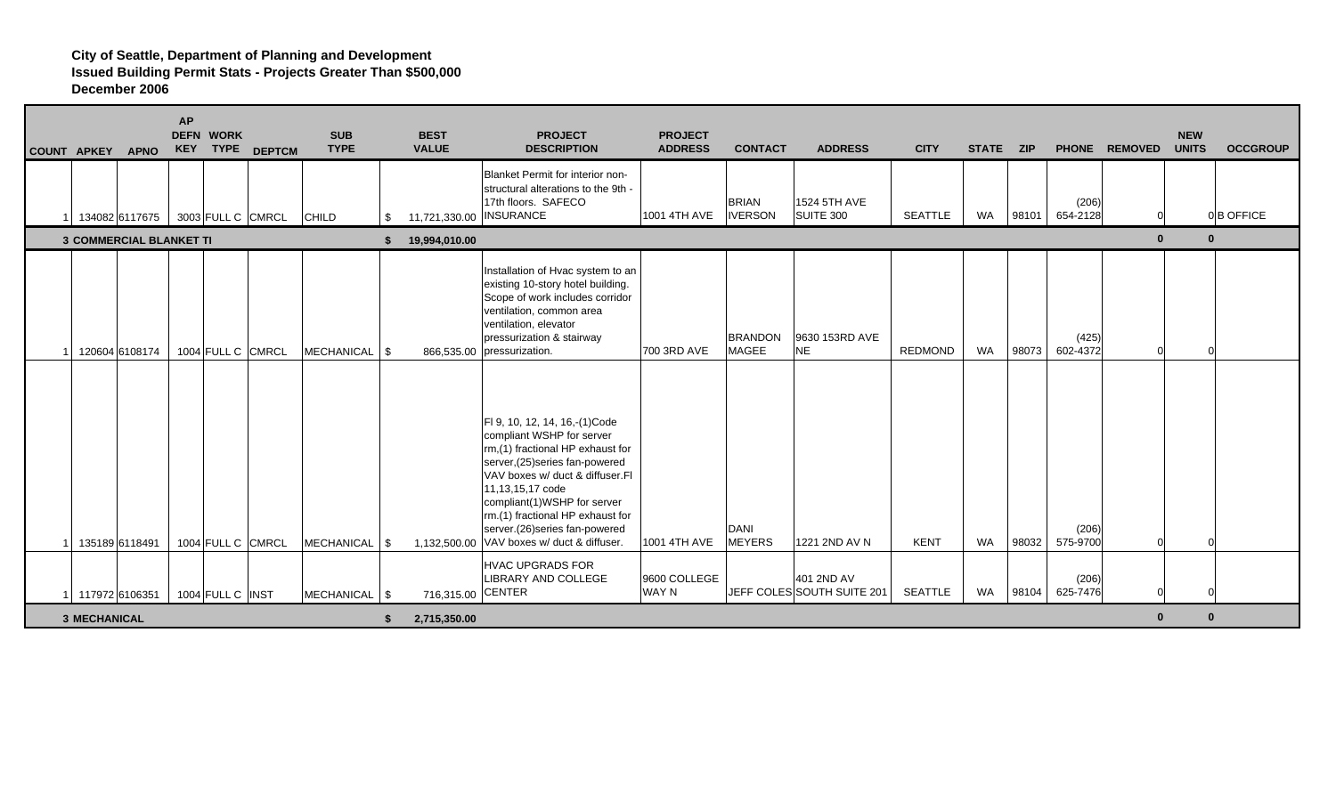| <b>COUNT APKEY</b>  | <b>APNO</b>                      | <b>AP</b> | <b>DEFN WORK</b>  | <b>KEY TYPE DEPTCM</b> | <b>SUB</b><br><b>TYPE</b> | <b>BEST</b><br><b>VALUE</b>   | <b>PROJECT</b><br><b>DESCRIPTION</b>                                                                                                                                                                                                                                                                                                        | <b>PROJECT</b><br><b>ADDRESS</b> | <b>CONTACT</b>                 | <b>ADDRESS</b>                           | <b>CITY</b>    | STATE ZIP |       |                   | PHONE REMOVED | <b>NEW</b><br><b>UNITS</b> | <b>OCCGROUP</b> |
|---------------------|----------------------------------|-----------|-------------------|------------------------|---------------------------|-------------------------------|---------------------------------------------------------------------------------------------------------------------------------------------------------------------------------------------------------------------------------------------------------------------------------------------------------------------------------------------|----------------------------------|--------------------------------|------------------------------------------|----------------|-----------|-------|-------------------|---------------|----------------------------|-----------------|
|                     | 134082 6117675 3003 FULL C CMRCL |           |                   |                        | <b>CHILD</b>              | \$<br>11,721,330.00 INSURANCE | <b>Blanket Permit for interior non-</b><br>structural alterations to the 9th -<br>17th floors. SAFECO                                                                                                                                                                                                                                       | 1001 4TH AVE                     | <b>BRIAN</b><br><b>IVERSON</b> | 1524 5TH AVE<br>SUITE 300                | <b>SEATTLE</b> | WA        | 98101 | (206)<br>654-2128 |               |                            | 0B OFFICE       |
|                     | <b>3 COMMERCIAL BLANKET TI</b>   |           |                   |                        |                           | 19,994,010.00                 |                                                                                                                                                                                                                                                                                                                                             |                                  |                                |                                          |                |           |       |                   | $\mathbf{0}$  | $\mathbf{0}$               |                 |
|                     | 120604 6108174                   |           |                   | 1004 FULL C CMRCL      | MECHANICAL   \$           |                               | Installation of Hvac system to an<br>existing 10-story hotel building.<br>Scope of work includes corridor<br>ventilation, common area<br>ventilation, elevator<br>pressurization & stairway<br>866,535.00 pressurization.                                                                                                                   | 700 3RD AVE                      | <b>BRANDON</b><br><b>MAGEE</b> | 9630 153RD AVE<br><b>NE</b>              | <b>REDMOND</b> | <b>WA</b> | 98073 | (425)<br>602-4372 |               | $\Omega$                   |                 |
|                     | 135189 6118491                   |           | 1004 FULL C CMRCL |                        | MECHANICAL   \$           |                               | FI 9, 10, 12, 14, 16,-(1)Code<br>compliant WSHP for server<br>rm,(1) fractional HP exhaust for<br>server, (25) series fan-powered<br>VAV boxes w/ duct & diffuser.FI<br>11,13,15,17 code<br>compliant(1)WSHP for server<br>rm.(1) fractional HP exhaust for<br>server.(26) series fan-powered<br>1,132,500.00 VAV boxes w/ duct & diffuser. | 1001 4TH AVE                     | DANI<br><b>MEYERS</b>          | 1221 2ND AV N                            | <b>KENT</b>    | <b>WA</b> | 98032 | (206)<br>575-9700 |               | $\Omega$                   |                 |
|                     | 117972 6106351                   |           | 1004 FULL C INST  |                        | MECHANICAL   \$           | 716,315.00 CENTER             | <b>HVAC UPGRADS FOR</b><br>LIBRARY AND COLLEGE                                                                                                                                                                                                                                                                                              | 9600 COLLEGE<br>WAY N            |                                | 401 2ND AV<br>JEFF COLES SOUTH SUITE 201 | SEATTLE        | WA        | 98104 | (206)<br>625-7476 |               |                            |                 |
| <b>3 MECHANICAL</b> |                                  |           |                   |                        |                           | 2,715,350.00                  |                                                                                                                                                                                                                                                                                                                                             |                                  |                                |                                          |                |           |       |                   | $\mathbf{0}$  | $\mathbf{0}$               |                 |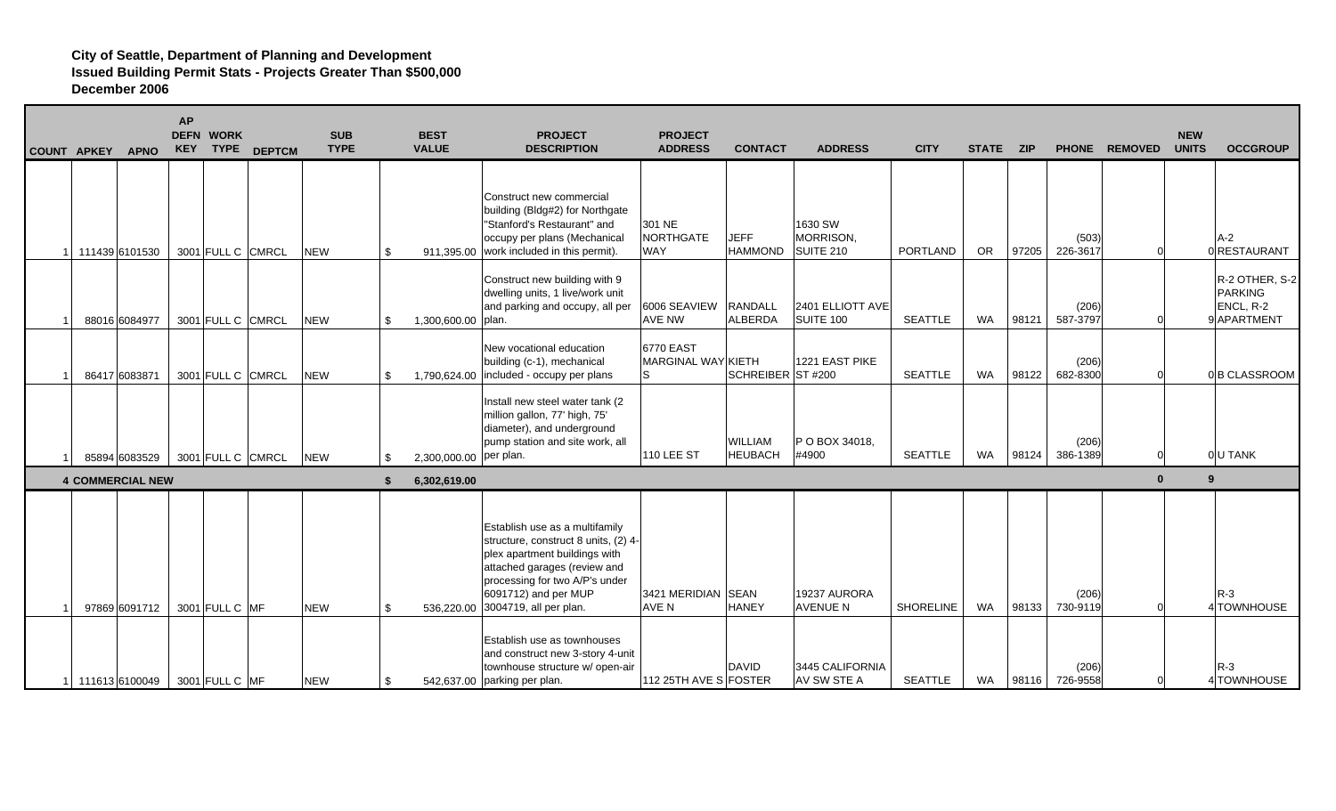| COUNT APKEY | <b>APNO</b>             | <b>AP</b> | <b>DEFN WORK</b><br>KEY TYPE | <b>DEPTCM</b>     | <b>SUB</b><br><b>TYPE</b> |     | <b>BEST</b><br><b>VALUE</b> | <b>PROJECT</b><br><b>DESCRIPTION</b>                                                                                                                                                                                                   | <b>PROJECT</b><br><b>ADDRESS</b>             | <b>CONTACT</b>                   | <b>ADDRESS</b>                    | <b>CITY</b>      | <b>STATE</b> | <b>ZIP</b> |                   | PHONE REMOVED | <b>NEW</b><br><b>UNITS</b> | <b>OCCGROUP</b>                                              |
|-------------|-------------------------|-----------|------------------------------|-------------------|---------------------------|-----|-----------------------------|----------------------------------------------------------------------------------------------------------------------------------------------------------------------------------------------------------------------------------------|----------------------------------------------|----------------------------------|-----------------------------------|------------------|--------------|------------|-------------------|---------------|----------------------------|--------------------------------------------------------------|
|             | 111439 6101530          |           | 3001 FULL C CMRCL            |                   | <b>NEW</b>                | \$. |                             | Construct new commercial<br>building (Bldg#2) for Northgate<br>"Stanford's Restaurant" and<br>occupy per plans (Mechanical<br>911,395.00 work included in this permit).                                                                | 301 NE<br>NORTHGATE<br><b>WAY</b>            | <b>JEFF</b><br><b>HAMMOND</b>    | 1630 SW<br>MORRISON,<br>SUITE 210 | <b>PORTLAND</b>  | <b>OR</b>    | 97205      | (503)<br>226-3617 |               |                            | $A-2$<br>0 RESTAURANT                                        |
|             | 88016 6084977           |           |                              | 3001 FULL C CMRCL | <b>NEW</b>                | \$. | 1,300,600.00 plan.          | Construct new building with 9<br>dwelling units, 1 live/work unit<br>and parking and occupy, all per                                                                                                                                   | 6006 SEAVIEW<br><b>AVE NW</b>                | RANDALL<br><b>ALBERDA</b>        | 2401 ELLIOTT AVE<br>SUITE 100     | <b>SEATTLE</b>   | <b>WA</b>    | 98121      | (206)<br>587-3797 |               |                            | R-2 OTHER, S-2<br><b>PARKING</b><br>ENCL, R-2<br>9 APARTMENT |
|             | 86417 6083871           |           | 3001 FULL C CMRCL            |                   | <b>NEW</b>                | \$  |                             | New vocational education<br>building (c-1), mechanical<br>1.790.624.00 $ $ included - occupy per plans                                                                                                                                 | <b>6770 EAST</b><br>MARGINAL WAY KIETH<br>ls | SCHREIBER ST #200                | 1221 EAST PIKE                    | <b>SEATTLE</b>   | <b>WA</b>    | 98122      | (206)<br>682-8300 |               |                            | 0B CLASSROOM                                                 |
|             | 85894 6083529           |           |                              | 3001 FULL C CMRCL | <b>NEW</b>                | £.  | 2,300,000.00 per plan.      | Install new steel water tank (2<br>million gallon, 77' high, 75'<br>diameter), and underground<br>pump station and site work, all                                                                                                      | <b>110 LEE ST</b>                            | <b>WILLIAM</b><br><b>HEUBACH</b> | P O BOX 34018,<br>#4900           | <b>SEATTLE</b>   | <b>WA</b>    | 98124      | (206)<br>386-1389 |               |                            | 0U TANK                                                      |
|             | <b>4 COMMERCIAL NEW</b> |           |                              |                   |                           | \$. | 6,302,619.00                |                                                                                                                                                                                                                                        |                                              |                                  |                                   |                  |              |            |                   | $\bf{0}$      | $\mathbf{q}$               |                                                              |
|             | 97869 6091712           |           | 3001 FULL C MF               |                   | <b>NEW</b>                | \$. |                             | Establish use as a multifamily<br>structure, construct 8 units, (2) 4-<br>plex apartment buildings with<br>attached garages (review and<br>processing for two A/P's under<br>6091712) and per MUP<br>536,220.00 3004719, all per plan. | 3421 MERIDIAN SEAN<br><b>AVE N</b>           | <b>HANEY</b>                     | 19237 AURORA<br><b>AVENUE N</b>   | <b>SHORELINE</b> | WA           | 98133      | (206)<br>730-9119 |               |                            | $R-3$<br>4 TOWNHOUSE                                         |
|             | 111613 6100049          |           | 3001 FULL C MF               |                   | <b>NEW</b>                | \$  |                             | Establish use as townhouses<br>and construct new 3-story 4-unit<br>townhouse structure w/ open-air<br>542,637.00 parking per plan.                                                                                                     | 112 25TH AVE S FOSTER                        | <b>DAVID</b>                     | 3445 CALIFORNIA<br>AV SW STE A    | <b>SEATTLE</b>   | WA           | 98116      | (206)<br>726-9558 | $\Omega$      |                            | $R-3$<br>4 TOWNHOUSE                                         |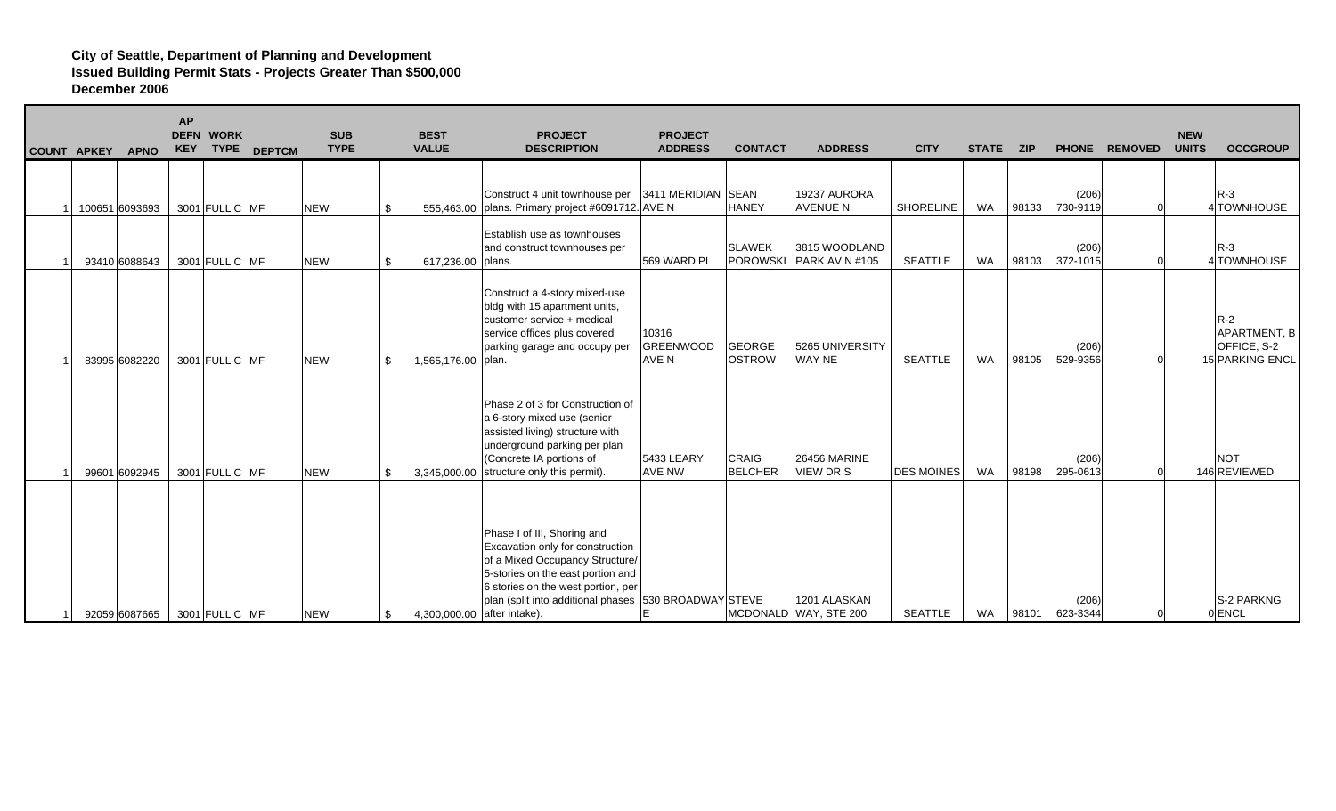| COUNT APKEY |                | <b>APNO</b> | <b>AP</b><br><b>KEY</b> | <b>DEFN WORK</b><br><b>TYPE</b> | <b>DEPTCM</b> | <b>SUB</b><br><b>TYPE</b> |     | <b>BEST</b><br><b>VALUE</b> | <b>PROJECT</b><br><b>DESCRIPTION</b>                                                                                                                                                                                                   | <b>PROJECT</b><br><b>ADDRESS</b>   | <b>CONTACT</b>                   | <b>ADDRESS</b>                        | <b>CITY</b>       | <b>STATE</b> | <b>ZIP</b> |                   | PHONE REMOVED | <b>NEW</b><br><b>UNITS</b> | <b>OCCGROUP</b>                                                |
|-------------|----------------|-------------|-------------------------|---------------------------------|---------------|---------------------------|-----|-----------------------------|----------------------------------------------------------------------------------------------------------------------------------------------------------------------------------------------------------------------------------------|------------------------------------|----------------------------------|---------------------------------------|-------------------|--------------|------------|-------------------|---------------|----------------------------|----------------------------------------------------------------|
|             | 100651 6093693 |             |                         | 3001 FULL C MF                  |               | <b>NEW</b>                | \$. |                             | Construct 4 unit townhouse per   3411 MERIDIAN   SEAN<br>555,463.00   plans. Primary project #6091712. AVE N                                                                                                                           |                                    | <b>HANEY</b>                     | 19237 AURORA<br><b>AVENUE N</b>       | <b>SHORELINE</b>  | <b>WA</b>    | 98133      | (206)<br>730-9119 |               |                            | $R-3$<br>4 TOWNHOUSE                                           |
|             | 93410 6088643  |             |                         | 3001 FULL C MF                  |               | <b>NEW</b>                | \$. | 617,236.00   plans.         | Establish use as townhouses<br>and construct townhouses per                                                                                                                                                                            | 569 WARD PL                        | <b>SLAWEK</b><br><b>POROWSKI</b> | 3815 WOODLAND<br>PARK AV N #105       | <b>SEATTLE</b>    | <b>WA</b>    | 98103      | (206)<br>372-1015 |               |                            | $R-3$<br>4 TOWNHOUSE                                           |
|             | 83995 6082220  |             |                         | 3001 FULL C MF                  |               | <b>NEW</b>                | \$. | 1,565,176.00 plan.          | Construct a 4-story mixed-use<br>bldg with 15 apartment units,<br>customer service + medical<br>service offices plus covered<br>parking garage and occupy per                                                                          | 10316<br><b>GREENWOOD</b><br>AVE N | <b>GEORGE</b><br><b>OSTROW</b>   | 5265 UNIVERSITY<br>WAY NE             | <b>SEATTLE</b>    | <b>WA</b>    | 98105      | (206)<br>529-9356 |               |                            | $R-2$<br><b>APARTMENT, B</b><br>OFFICE, S-2<br>15 PARKING ENCL |
|             | 99601 6092945  |             |                         | 3001 FULL C MF                  |               | <b>NEW</b>                | .ፍ  |                             | Phase 2 of 3 for Construction of<br>a 6-story mixed use (senior<br>assisted living) structure with<br>underground parking per plan<br>(Concrete IA portions of<br>3,345,000.00 structure only this permit).                            | 5433 LEARY<br><b>AVE NW</b>        | CRAIG<br><b>BELCHER</b>          | <b>26456 MARINE</b><br>VIEW DR S      | <b>DES MOINES</b> | WA           | 98198      | (206)<br>295-0613 |               |                            | <b>NOT</b><br>146 REVIEWED                                     |
|             | 92059 6087665  |             |                         | 3001 FULL C MF                  |               | <b>NEW</b>                | \$. | 4,300,000.00 after intake). | Phase I of III, Shoring and<br>Excavation only for construction<br>of a Mixed Occupancy Structure/<br>5-stories on the east portion and<br>6 stories on the west portion, per<br>plan (split into additional phases 530 BROADWAY STEVE | IE                                 |                                  | 1201 ALASKAN<br>MCDONALD WAY, STE 200 | <b>SEATTLE</b>    | WA           | 98101      | (206)<br>623-3344 |               |                            | S-2 PARKNG<br>0 <b>ENCL</b>                                    |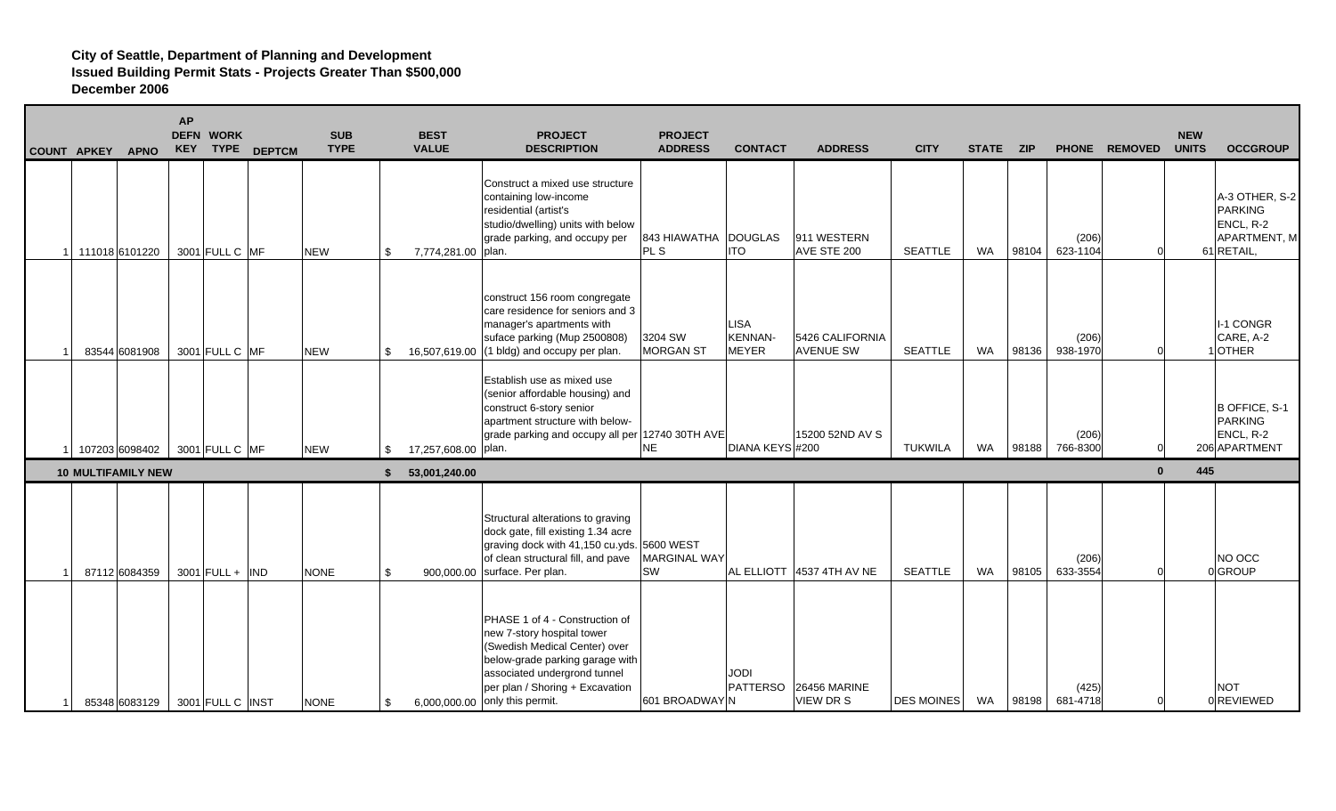| <b>COUNT APKEY</b> | <b>APNO</b>               | <b>AP</b> | <b>DEFN WORK</b><br>KEY TYPE | <b>DEPTCM</b> | <b>SUB</b><br><b>TYPE</b> |     | <b>BEST</b><br><b>VALUE</b> | <b>PROJECT</b><br><b>DESCRIPTION</b>                                                                                                                                                                                                  | <b>PROJECT</b><br><b>ADDRESS</b> | <b>CONTACT</b>                                | <b>ADDRESS</b>                          | <b>CITY</b>       | <b>STATE</b> | <b>ZIP</b> |                   | PHONE REMOVED | <b>NEW</b><br><b>UNITS</b> | <b>OCCGROUP</b>                                                             |
|--------------------|---------------------------|-----------|------------------------------|---------------|---------------------------|-----|-----------------------------|---------------------------------------------------------------------------------------------------------------------------------------------------------------------------------------------------------------------------------------|----------------------------------|-----------------------------------------------|-----------------------------------------|-------------------|--------------|------------|-------------------|---------------|----------------------------|-----------------------------------------------------------------------------|
|                    | 1 11018 6101220           |           | 3001 FULL C MF               |               | <b>NEW</b>                | \$  | 7,774,281.00   plan.        | Construct a mixed use structure<br>containing low-income<br>residential (artist's<br>studio/dwelling) units with below<br>grade parking, and occupy per                                                                               | 843 HIAWATHA DOUGLAS<br>PL S     | <b>ITO</b>                                    | 911 WESTERN<br>AVE STE 200              | <b>SEATTLE</b>    | <b>WA</b>    | 98104      | (206)<br>623-1104 |               |                            | A-3 OTHER, S-2<br><b>PARKING</b><br>ENCL, R-2<br>APARTMENT, M<br>61 RETAIL, |
|                    | 83544 6081908             |           | 3001 FULL C MF               |               | <b>NEW</b>                | \$  |                             | construct 156 room congregate<br>care residence for seniors and 3<br>manager's apartments with<br>suface parking (Mup 2500808)<br>16,507,619.00 (1 bldg) and occupy per plan.                                                         | 3204 SW<br><b>MORGAN ST</b>      | <b>LISA</b><br><b>KENNAN-</b><br><b>MEYER</b> | 5426 CALIFORNIA<br><b>AVENUE SW</b>     | <b>SEATTLE</b>    | WA           | 98136      | (206)<br>938-1970 |               |                            | I-1 CONGR<br>CARE, A-2<br>1OTHER                                            |
|                    | 107203 6098402            |           | 3001 FULL C MF               |               | <b>NEW</b>                | \$. | 17,257,608.00 plan.         | Establish use as mixed use<br>(senior affordable housing) and<br>construct 6-story senior<br>apartment structure with below-<br>grade parking and occupy all per 12740 30TH AVE                                                       | <b>NE</b>                        | DIANA KEYS #200                               | 15200 52ND AV S                         | <b>TUKWILA</b>    | <b>WA</b>    | 98188      | (206)<br>766-8300 |               |                            | B OFFICE, S-1<br><b>PARKING</b><br>ENCL, R-2<br>206 APARTMENT               |
|                    | <b>10 MULTIFAMILY NEW</b> |           |                              |               |                           | \$  | 53,001,240.00               |                                                                                                                                                                                                                                       |                                  |                                               |                                         |                   |              |            |                   | $\mathbf{0}$  | 445                        |                                                                             |
|                    | 87112 6084359             |           | $3001$ FULL + IND            |               | <b>NONE</b>               | \$. |                             | Structural alterations to graving<br>dock gate, fill existing 1.34 acre<br>graving dock with 41,150 cu.yds. 5600 WEST<br>of clean structural fill, and pave<br>900,000.00 surface. Per plan.                                          | <b>MARGINAL WAY</b><br><b>SW</b> | AL ELLIOTT                                    | 4537 4TH AV NE                          | <b>SEATTLE</b>    | <b>WA</b>    | 98105      | (206)<br>633-3554 |               |                            | NO OCC<br>0GROUP                                                            |
|                    | 85348 6083129             |           | 3001 FULL C INST             |               | <b>NONE</b>               | \$  |                             | PHASE 1 of 4 - Construction of<br>new 7-story hospital tower<br>(Swedish Medical Center) over<br>below-grade parking garage with<br>associated undergrond tunnel<br>per plan / Shoring + Excavation<br>6,000,000.00 only this permit. | 601 BROADWAY N                   | <b>JODI</b><br><b>PATTERSO</b>                | <b>26456 MARINE</b><br><b>VIEW DR S</b> | <b>DES MOINES</b> | WA           | 98198      | (425)<br>681-4718 |               |                            | <b>NOT</b><br><b>OREVIEWED</b>                                              |